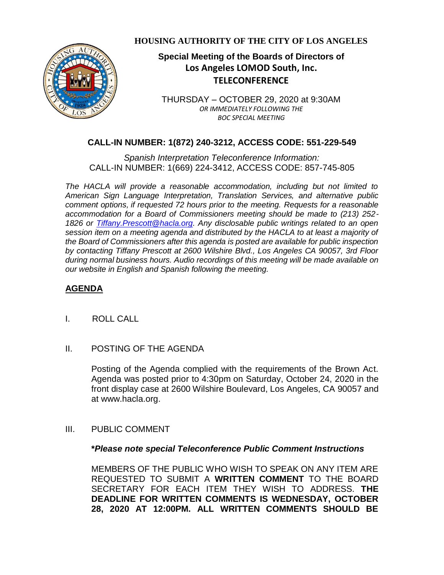

**HOUSING AUTHORITY OF THE CITY OF LOS ANGELES**

# **Special Meeting of the Boards of Directors of Los Angeles LOMOD South, Inc. TELECONFERENCE**

THURSDAY – OCTOBER 29, 2020 at 9:30AM *OR IMMEDIATELY FOLLOWING THE BOC SPECIAL MEETING*

## **CALL-IN NUMBER: 1(872) 240-3212, ACCESS CODE: 551-229-549**

*Spanish Interpretation Teleconference Information:* CALL-IN NUMBER: 1(669) 224-3412, ACCESS CODE: 857-745-805

*The HACLA will provide a reasonable accommodation, including but not limited to American Sign Language Interpretation, Translation Services, and alternative public comment options, if requested 72 hours prior to the meeting. Requests for a reasonable accommodation for a Board of Commissioners meeting should be made to (213) 252- 1826 or Tiffany.Prescott@hacla.org. Any disclosable public writings related to an open session item on a meeting agenda and distributed by the HACLA to at least a majority of the Board of Commissioners after this agenda is posted are available for public inspection by contacting Tiffany Prescott at 2600 Wilshire Blvd., Los Angeles CA 90057, 3rd Floor during normal business hours. Audio recordings of this meeting will be made available on our website in English and Spanish following the meeting.*

### **AGENDA**

- I. ROLL CALL
- II. POSTING OF THE AGENDA

Posting of the Agenda complied with the requirements of the Brown Act. Agenda was posted prior to 4:30pm on Saturday, October 24, 2020 in the front display case at 2600 Wilshire Boulevard, Los Angeles, CA 90057 and at [www.hacla.org.](http://www.hacla.org/)

III. PUBLIC COMMENT

#### **\****Please note special Teleconference Public Comment Instructions*

MEMBERS OF THE PUBLIC WHO WISH TO SPEAK ON ANY ITEM ARE REQUESTED TO SUBMIT A **WRITTEN COMMENT** TO THE BOARD SECRETARY FOR EACH ITEM THEY WISH TO ADDRESS. **THE DEADLINE FOR WRITTEN COMMENTS IS WEDNESDAY, OCTOBER 28, 2020 AT 12:00PM. ALL WRITTEN COMMENTS SHOULD BE**